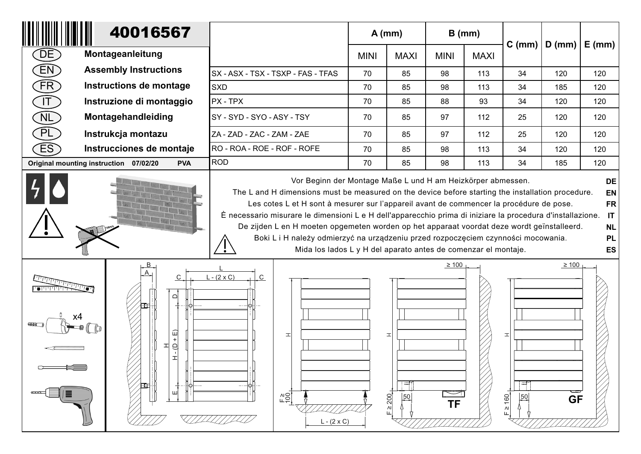| 40016567                                                           |                                                                                                       |                                                                                                                                                                                                                                                                                                                                                                                                                                                                                                                                                                                                                                                                                                      |             | $A$ (mm)               |                  | $B$ (mm)    |                            |                          |     |  |
|--------------------------------------------------------------------|-------------------------------------------------------------------------------------------------------|------------------------------------------------------------------------------------------------------------------------------------------------------------------------------------------------------------------------------------------------------------------------------------------------------------------------------------------------------------------------------------------------------------------------------------------------------------------------------------------------------------------------------------------------------------------------------------------------------------------------------------------------------------------------------------------------------|-------------|------------------------|------------------|-------------|----------------------------|--------------------------|-----|--|
| DE                                                                 | Montageanleitung                                                                                      |                                                                                                                                                                                                                                                                                                                                                                                                                                                                                                                                                                                                                                                                                                      | <b>MINI</b> | <b>MAXI</b>            | <b>MINI</b>      | <b>MAXI</b> |                            | C (mm)   D (mm)   E (mm) |     |  |
| [EN]                                                               | <b>Assembly Instructions</b>                                                                          | SX - ASX - TSX - TSXP - FAS - TFAS                                                                                                                                                                                                                                                                                                                                                                                                                                                                                                                                                                                                                                                                   | 70          | 85                     | 98               | 113         | 34                         | 120                      | 120 |  |
| $\widehat{FR}$                                                     | Instructions de montage                                                                               | <b>SXD</b>                                                                                                                                                                                                                                                                                                                                                                                                                                                                                                                                                                                                                                                                                           | 70          | 85                     | 98               | 113         | 34                         | 185                      | 120 |  |
| $\boxed{\mathsf{T}}$                                               | Instruzione di montaggio                                                                              | <b>PX - TPX</b>                                                                                                                                                                                                                                                                                                                                                                                                                                                                                                                                                                                                                                                                                      | 70          | 85                     | 88               | 93          | 34                         | 120                      | 120 |  |
| NL                                                                 | Montagehandleiding                                                                                    | SY - SYD - SYO - ASY - TSY                                                                                                                                                                                                                                                                                                                                                                                                                                                                                                                                                                                                                                                                           | 70          | 85                     | 97               | 112         | 25                         | 120                      | 120 |  |
| PL                                                                 | Instrukcja montazu                                                                                    | ZA - ZAD - ZAC - ZAM - ZAE                                                                                                                                                                                                                                                                                                                                                                                                                                                                                                                                                                                                                                                                           | 70          | 85                     | 97               | 112         | 25                         | 120                      | 120 |  |
| ES                                                                 | Instrucciones de montaje                                                                              | RO - ROA - ROE - ROF - ROFE                                                                                                                                                                                                                                                                                                                                                                                                                                                                                                                                                                                                                                                                          | 70          | 85                     | 98               | 113         | 34                         | 120                      | 120 |  |
| <b>ROD</b><br>Original mounting instruction 07/02/20<br><b>PVA</b> |                                                                                                       |                                                                                                                                                                                                                                                                                                                                                                                                                                                                                                                                                                                                                                                                                                      | 70          | 85                     | 98               | 113         | 34                         | 185                      | 120 |  |
|                                                                    |                                                                                                       | Vor Beginn der Montage Maße L und H am Heizkörper abmessen.<br>DE<br>The L and H dimensions must be measured on the device before starting the installation procedure.<br><b>EN</b><br>Les cotes L et H sont à mesurer sur l'appareil avant de commencer la procédure de pose.<br><b>FR</b><br>È necessario misurare le dimensioni L e H dell'apparecchio prima di iniziare la procedura d'installazione.<br>IT<br>De zijden L en H moeten opgemeten worden op het apparaat voordat deze wordt geïnstalleerd.<br><b>NL</b><br>Boki L i H należy odmierzyć na urządzeniu przed rozpoczęciem czynności mocowania.<br><b>PL</b><br>Mida los lados L y H del aparato antes de comenzar el montaje.<br>ES |             |                        |                  |             |                            |                          |     |  |
|                                                                    | $\mathsf{B}$<br>C<br>$\mathop\square$<br>冚<br>$\ddot{}$<br>의<br>H<br>$\mathbf{I}$<br>$\top$<br>Œ<br>ю | $L - (2 \times C)$<br>$\overline{C}$<br>피<br>$L =$<br>$L - (2 \times C)$                                                                                                                                                                                                                                                                                                                                                                                                                                                                                                                                                                                                                             |             | 고<br>$E \ge 200$<br>50 | $\geq$ 100<br>ΤF |             | ᆂ<br>50<br>$\geq 160$<br>Щ | $\geq 100$<br><b>GF</b>  |     |  |